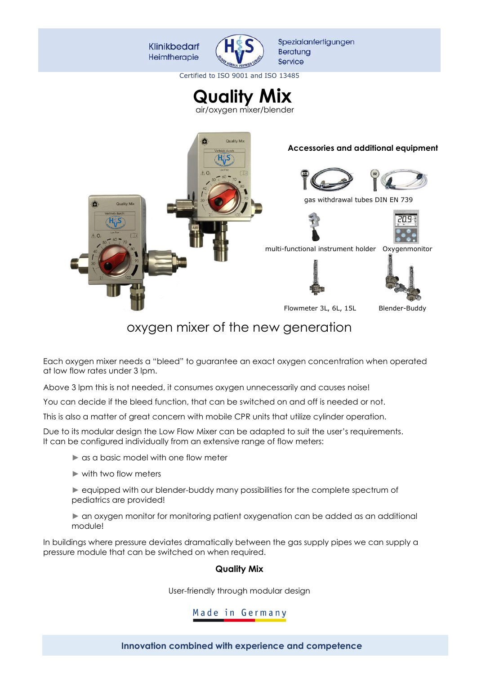

Certified to ISO 9001 and ISO 13485

**Quality Mix**





# oxygen mixer of the new generation

Each oxygen mixer needs a "bleed" to guarantee an exact oxygen concentration when operated at low flow rates under 3 lpm.

Above 3 lpm this is not needed, it consumes oxygen unnecessarily and causes noise!

You can decide if the bleed function, that can be switched on and off is needed or not.

This is also a matter of great concern with mobile CPR units that utilize cylinder operation.

Due to its modular design the Low Flow Mixer can be adapted to suit the user's requirements. It can be configured individually from an extensive range of flow meters:

► as a basic model with one flow meter

► with two flow meters

► equipped with our blender-buddy many possibilities for the complete spectrum of pediatrics are provided!

► an oxygen monitor for monitoring patient oxygenation can be added as an additional module!

In buildings where pressure deviates dramatically between the gas supply pipes we can supply a pressure module that can be switched on when required.

#### **Quality Mix**

User-friendly through modular design

### Made in Germany

**Innovation combined with experience and competence**